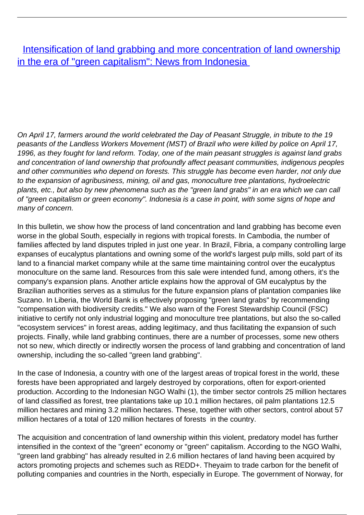[Intensification of land grabbing and more concentration of land ownership](/bulletin-articles/intensification-of-land-grabbing-and-more-concentration-of-land-ownership-in-the-era-of-green-capitalism) [in the era of "green capitalism": News from Indonesia](/bulletin-articles/intensification-of-land-grabbing-and-more-concentration-of-land-ownership-in-the-era-of-green-capitalism)

On April 17, farmers around the world celebrated the Day of Peasant Struggle, in tribute to the 19 peasants of the Landless Workers Movement (MST) of Brazil who were killed by police on April 17, 1996, as they fought for land reform. Today, one of the main peasant struggles is against land grabs and concentration of land ownership that profoundly affect peasant communities, indigenous peoples and other communities who depend on forests. This struggle has become even harder, not only due to the expansion of agribusiness, mining, oil and gas, monoculture tree plantations, hydroelectric plants, etc., but also by new phenomena such as the "green land grabs" in an era which we can call of "green capitalism or green economy". Indonesia is a case in point, with some signs of hope and many of concern.

In this bulletin, we show how the process of land concentration and land grabbing has become even worse in the global South, especially in regions with tropical forests. In Cambodia, the number of families affected by land disputes tripled in just one year. In Brazil, Fibria, a company controlling large expanses of eucalyptus plantations and owning some of the world's largest pulp mills, sold part of its land to a financial market company while at the same time maintaining control over the eucalyptus monoculture on the same land. Resources from this sale were intended fund, among others, it's the company's expansion plans. Another article explains how the approval of GM eucalyptus by the Brazilian authorities serves as a stimulus for the future expansion plans of plantation companies like Suzano. In Liberia, the World Bank is effectively proposing "green land grabs" by recommending "compensation with biodiversity credits." We also warn of the Forest Stewardship Council (FSC) initiative to certify not only industrial logging and monoculture tree plantations, but also the so-called "ecosystem services" in forest areas, adding legitimacy, and thus facilitating the expansion of such projects. Finally, while land grabbing continues, there are a number of processes, some new others not so new, which directly or indirectly worsen the process of land grabbing and concentration of land ownership, including the so-called "green land grabbing".

In the case of Indonesia, a country with one of the largest areas of tropical forest in the world, these forests have been appropriated and largely destroyed by corporations, often for export-oriented production. According to the Indonesian NGO Walhi (1), the timber sector controls 25 million hectares of land classified as forest, tree plantations take up 10.1 million hectares, oil palm plantations 12.5 million hectares and mining 3.2 million hectares. These, together with other sectors, control about 57 million hectares of a total of 120 million hectares of forests in the country.

The acquisition and concentration of land ownership within this violent, predatory model has further intensified in the context of the "green" economy or "green" capitalism. According to the NGO Walhi, "green land grabbing" has already resulted in 2.6 million hectares of land having been acquired by actors promoting projects and schemes such as REDD+. Theyaim to trade carbon for the benefit of polluting companies and countries in the North, especially in Europe. The government of Norway, for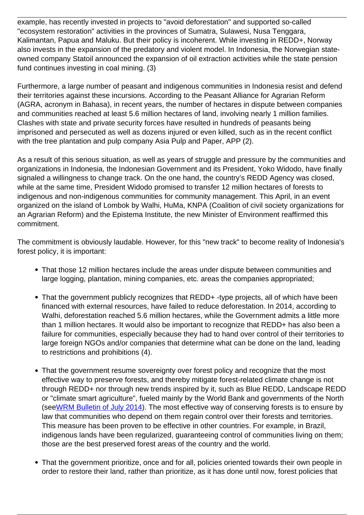example, has recently invested in projects to "avoid deforestation" and supported so-called "ecosystem restoration" activities in the provinces of Sumatra, Sulawesi, Nusa Tenggara, Kalimantan, Papua and Maluku. But their policy is incoherent. While investing in REDD+, Norway also invests in the expansion of the predatory and violent model. In Indonesia, the Norwegian stateowned company Statoil announced the expansion of oil extraction activities while the state pension fund continues investing in coal mining. (3)

Furthermore, a large number of peasant and indigenous communities in Indonesia resist and defend their territories against these incursions. According to the Peasant Alliance for Agrarian Reform (AGRA, acronym in Bahasa), in recent years, the number of hectares in dispute between companies and communities reached at least 5.6 million hectares of land, involving nearly 1 million families. Clashes with state and private security forces have resulted in hundreds of peasants being imprisoned and persecuted as well as dozens injured or even killed, such as in the recent conflict with the tree plantation and pulp company Asia Pulp and Paper, APP (2).

As a result of this serious situation, as well as years of struggle and pressure by the communities and organizations in Indonesia, the Indonesian Government and its President, Yoko Widodo, have finally signaled a willingness to change track. On the one hand, the country's REDD Agency was closed, while at the same time, President Widodo promised to transfer 12 million hectares of forests to indigenous and non-indigenous communities for community management. This April, in an event organized on the island of Lombok by Walhi, HuMa, KNPA (Coalition of civil society organizations for an Agrarian Reform) and the Epistema Institute, the new Minister of Environment reaffirmed this commitment.

The commitment is obviously laudable. However, for this "new track" to become reality of Indonesia's forest policy, it is important:

- That those 12 million hectares include the areas under dispute between communities and large logging, plantation, mining companies, etc. areas the companies appropriated;
- That the government publicly recognizes that REDD+-type projects, all of which have been financed with external resources, have failed to reduce deforestation. In 2014, according to Walhi, deforestation reached 5.6 million hectares, while the Government admits a little more than 1 million hectares. It would also be important to recognize that REDD+ has also been a failure for communities, especially because they had to hand over control of their territories to large foreign NGOs and/or companies that determine what can be done on the land, leading to restrictions and prohibitions (4).
- That the government resume sovereignty over forest policy and recognize that the most effective way to preserve forests, and thereby mitigate forest-related climate change is not through REDD+ nor through new trends inspired by it, such as Blue REDD, Landscape REDD or "climate smart agriculture", fueled mainly by the World Bank and governments of the North (see[WRM Bulletin of July 2014](http://wrm.us9.list-manage1.com/track/click?u=f91b651f7fecdf835b57dc11d&id=5c266cc95b&e=0a9bf43b39)). The most effective way of conserving forests is to ensure by law that communities who depend on them regain control over their forests and territories. This measure has been proven to be effective in other countries. For example, in Brazil, indigenous lands have been regularized, guaranteeing control of communities living on them; those are the best preserved forest areas of the country and the world.
- That the government prioritize, once and for all, policies oriented towards their own people in order to restore their land, rather than prioritize, as it has done until now, forest policies that